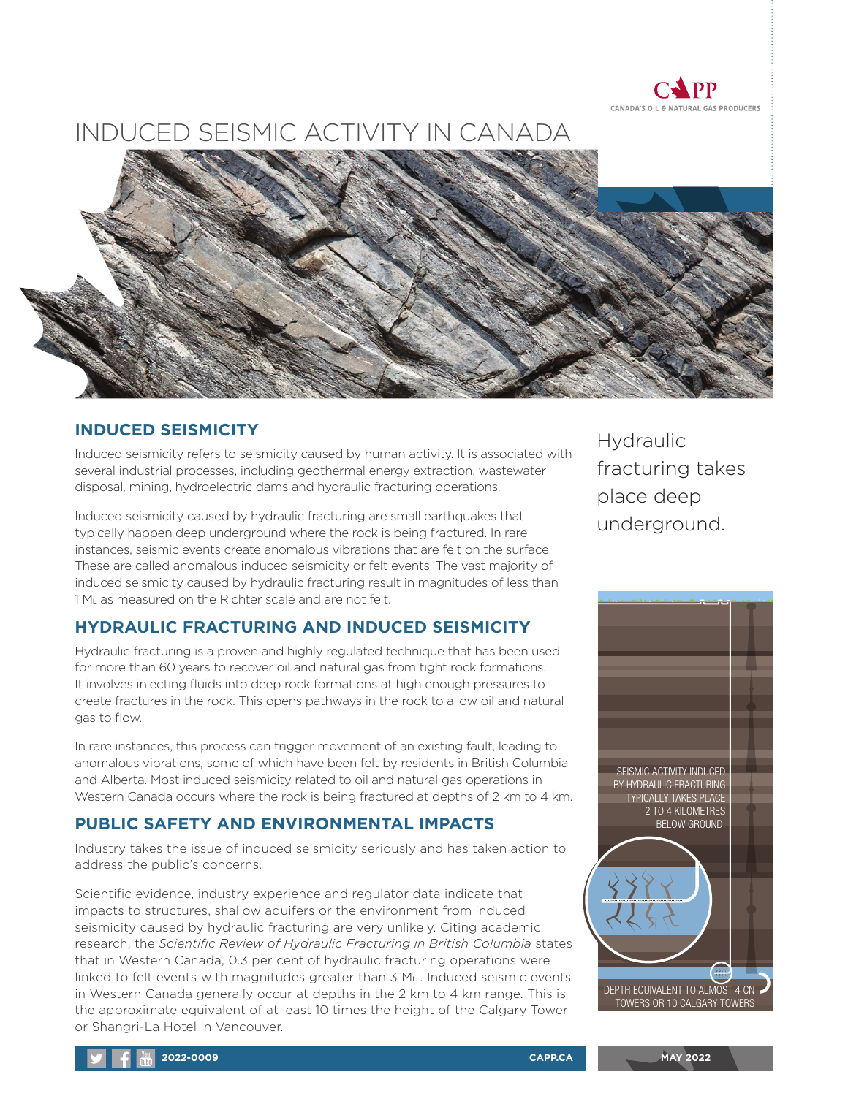

# INDUCED SEISMIC ACTIVITY IN CANADA



#### **INDUCED SEISMICITY**

Induced seismicity refers to seismicity caused by human activity. It is associated with several industrial processes, including geothermal energy extraction, wastewater disposal, mining, hydroelectric dams and hydraulic fracturing operations.

Induced seismicity caused by hydraulic fracturing are small earthquakes that typically happen deep underground where the rock is being fractured. In rare instances, seismic events create anomalous vibrations that are felt on the surface. These are called anomalous induced seismicity or felt events. The vast majority of induced seismicity caused by hydraulic fracturing result in magnitudes of less than 1 ML as measured on the Richter scale and are not felt.

### **HYDRAULIC FRACTURING AND INDUCED SEISMICITY**

Hydraulic fracturing is a proven and highly regulated technique that has been used for more than 60 years to recover oil and natural gas from tight rock formations. It involves injecting fluids into deep rock formations at high enough pressures to create fractures in the rock. This opens pathways in the rock to allow oil and natural gas to flow.

In rare instances, this process can trigger movement of an existing fault, leading to anomalous vibrations, some of which have been felt by residents in British Columbia and Alberta. Most induced seismicity related to oil and natural gas operations in Western Canada occurs where the rock is being fractured at depths of 2 km to 4 km.

### **PUBLIC SAFETY AND ENVIRONMENTAL IMPACTS**

Industry takes the issue of induced seismicity seriously and has taken action to address the public's concerns.

Scientific evidence, industry experience and regulator data indicate that impacts to structures, shallow aquifers or the environment from induced seismicity caused by hydraulic fracturing are very unlikely. Citing academic research, the *Scientific Review of Hydraulic Fracturing in British Columbia* states that in Western Canada, 0.3 per cent of hydraulic fracturing operations were linked to felt events with magnitudes greater than 3 ML . Induced seismic events in Western Canada generally occur at depths in the 2 km to 4 km range. This is the approximate equivalent of at least 10 times the height of the Calgary Tower or Shangri-La Hotel in Vancouver.

**Hydraulic** fracturing takes place deep underground.